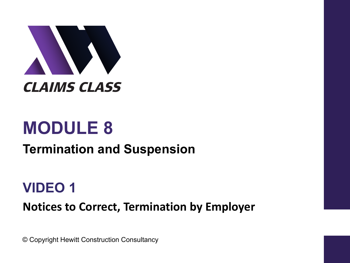

# **MODULE 8**

#### **Termination and Suspension**

#### **VIDEO 1**

**Notices to Correct, Termination by Employer** 

© Copyright Hewitt Construction Consultancy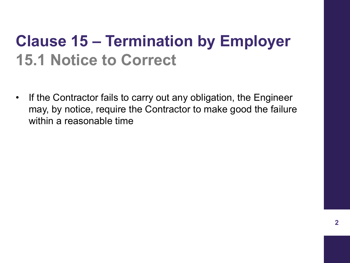### **Clause 15 – Termination by Employer 15.1 Notice to Correct**

• If the Contractor fails to carry out any obligation, the Engineer may, by notice, require the Contractor to make good the failure within a reasonable time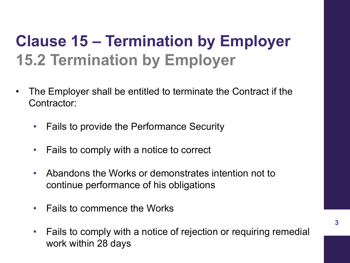- The Employer shall be entitled to terminate the Contract if the Contractor:
	- Fails to provide the Performance Security
	- Fails to comply with a notice to correct
	- Abandons the Works or demonstrates intention not to continue performance of his obligations
	- Fails to commence the Works
	- Fails to comply with a notice of rejection or requiring remedial work within 28 days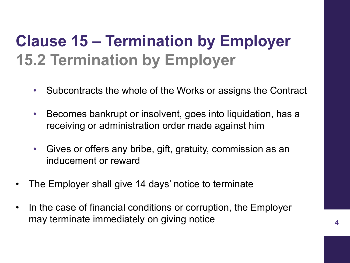- Subcontracts the whole of the Works or assigns the Contract
- Becomes bankrupt or insolvent, goes into liquidation, has a receiving or administration order made against him
- Gives or offers any bribe, gift, gratuity, commission as an inducement or reward
- The Employer shall give 14 days' notice to terminate
- In the case of financial conditions or corruption, the Employer may terminate immediately on giving notice **<sup>4</sup>**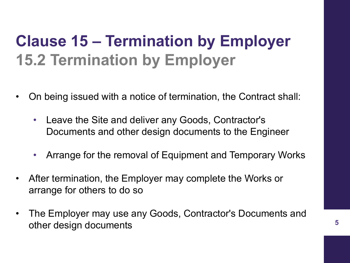- On being issued with a notice of termination, the Contract shall:
	- Leave the Site and deliver any Goods, Contractor's Documents and other design documents to the Engineer
	- Arrange for the removal of Equipment and Temporary Works
- After termination, the Employer may complete the Works or arrange for others to do so
- The Employer may use any Goods, Contractor's Documents and other design documents **<sup>5</sup>**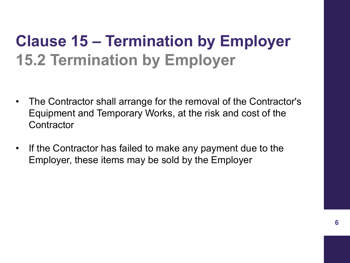- The Contractor shall arrange for the removal of the Contractor's Equipment and Temporary Works, at the risk and cost of the **Contractor**
- If the Contractor has failed to make any payment due to the Employer, these items may be sold by the Employer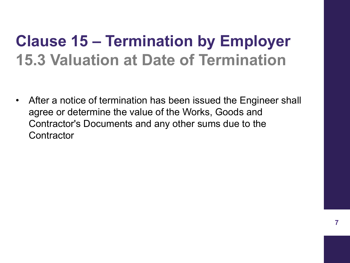#### **Clause 15 – Termination by Employer 15.3 Valuation at Date of Termination**

• After a notice of termination has been issued the Engineer shall agree or determine the value of the Works, Goods and Contractor's Documents and any other sums due to the **Contractor**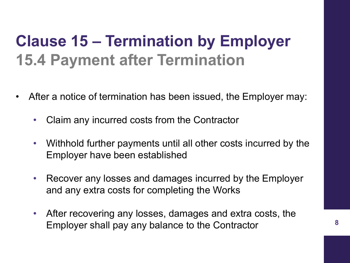### **Clause 15 – Termination by Employer 15.4 Payment after Termination**

- After a notice of termination has been issued, the Employer may:
	- Claim any incurred costs from the Contractor
	- Withhold further payments until all other costs incurred by the Employer have been established
	- Recover any losses and damages incurred by the Employer and any extra costs for completing the Works
	- After recovering any losses, damages and extra costs, the Employer shall pay any balance to the Contractor **<sup>8</sup>**